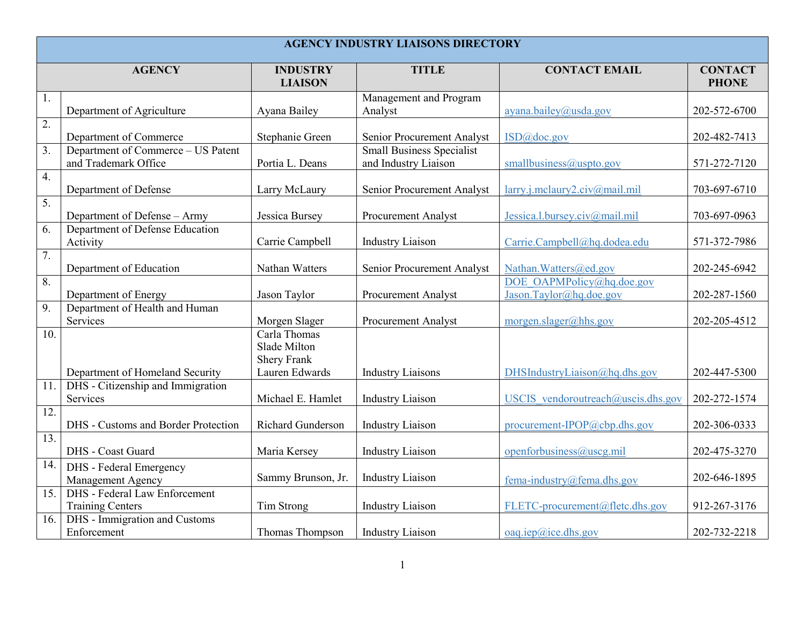| <b>AGENCY INDUSTRY LIAISONS DIRECTORY</b> |                                                                 |                                                    |                                                          |                                                      |                                |  |
|-------------------------------------------|-----------------------------------------------------------------|----------------------------------------------------|----------------------------------------------------------|------------------------------------------------------|--------------------------------|--|
|                                           | <b>AGENCY</b>                                                   | <b>INDUSTRY</b><br><b>LIAISON</b>                  | <b>TITLE</b>                                             | <b>CONTACT EMAIL</b>                                 | <b>CONTACT</b><br><b>PHONE</b> |  |
| 1.                                        | Department of Agriculture                                       | Ayana Bailey                                       | Management and Program<br>Analyst                        | ayana.bailey@usda.gov                                | 202-572-6700                   |  |
| $\overline{2}$ .                          | Department of Commerce                                          | Stephanie Green                                    | Senior Procurement Analyst                               | ISD@doc.gov                                          | 202-482-7413                   |  |
| $\overline{3}$ .                          | Department of Commerce - US Patent<br>and Trademark Office      | Portia L. Deans                                    | <b>Small Business Specialist</b><br>and Industry Liaison | smallbusiness@uspto.gov                              | 571-272-7120                   |  |
| 4.                                        | Department of Defense                                           | Larry McLaury                                      | Senior Procurement Analyst                               | larry.j.mclaury2.civ@mail.mil                        | 703-697-6710                   |  |
| $\overline{5}$ .                          | Department of Defense - Army                                    | Jessica Bursey                                     | <b>Procurement Analyst</b>                               | Jessica.l.bursey.civ@mail.mil                        | 703-697-0963                   |  |
| 6.                                        | Department of Defense Education<br>Activity                     | Carrie Campbell                                    | <b>Industry Liaison</b>                                  | Carrie.Campbell@hq.dodea.edu                         | 571-372-7986                   |  |
| 7.                                        | Department of Education                                         | Nathan Watters                                     | Senior Procurement Analyst                               | Nathan. Watters@ed.gov                               | 202-245-6942                   |  |
| 8.                                        | Department of Energy                                            | Jason Taylor                                       | Procurement Analyst                                      | DOE OAPMPolicy@hq.doe.gov<br>Jason.Taylor@hq.doe.gov | 202-287-1560                   |  |
| 9.                                        | Department of Health and Human<br>Services                      | Morgen Slager                                      | Procurement Analyst                                      | morgen.slager@hhs.gov                                | 202-205-4512                   |  |
| 10.                                       |                                                                 | Carla Thomas<br>Slade Milton<br><b>Shery Frank</b> |                                                          |                                                      |                                |  |
|                                           | Department of Homeland Security                                 | Lauren Edwards                                     | <b>Industry Liaisons</b>                                 | DHSIndustryLiaison@hq.dhs.gov                        | 202-447-5300                   |  |
| 11.                                       | DHS - Citizenship and Immigration<br>Services                   | Michael E. Hamlet                                  | <b>Industry Liaison</b>                                  | USCIS vendoroutreach@uscis.dhs.gov                   | 202-272-1574                   |  |
| $\overline{12}$ .                         | DHS - Customs and Border Protection                             | Richard Gunderson                                  | <b>Industry Liaison</b>                                  | procurement-IPOP@cbp.dhs.gov                         | 202-306-0333                   |  |
| $\overline{13}$ .                         | DHS - Coast Guard                                               | Maria Kersey                                       | <b>Industry Liaison</b>                                  | openforbusiness@uscg.mil                             | 202-475-3270                   |  |
| 14.                                       | DHS - Federal Emergency<br>Management Agency                    | Sammy Brunson, Jr.                                 | <b>Industry Liaison</b>                                  | fema-industry@fema.dhs.gov                           | 202-646-1895                   |  |
| $\overline{15}$ .                         | <b>DHS</b> - Federal Law Enforcement<br><b>Training Centers</b> | Tim Strong                                         | <b>Industry Liaison</b>                                  | FLETC-procurement@fletc.dhs.gov                      | 912-267-3176                   |  |
| 16.                                       | DHS - Immigration and Customs<br>Enforcement                    | Thomas Thompson                                    | <b>Industry Liaison</b>                                  | oaq.iep@ice.dhs.gov                                  | 202-732-2218                   |  |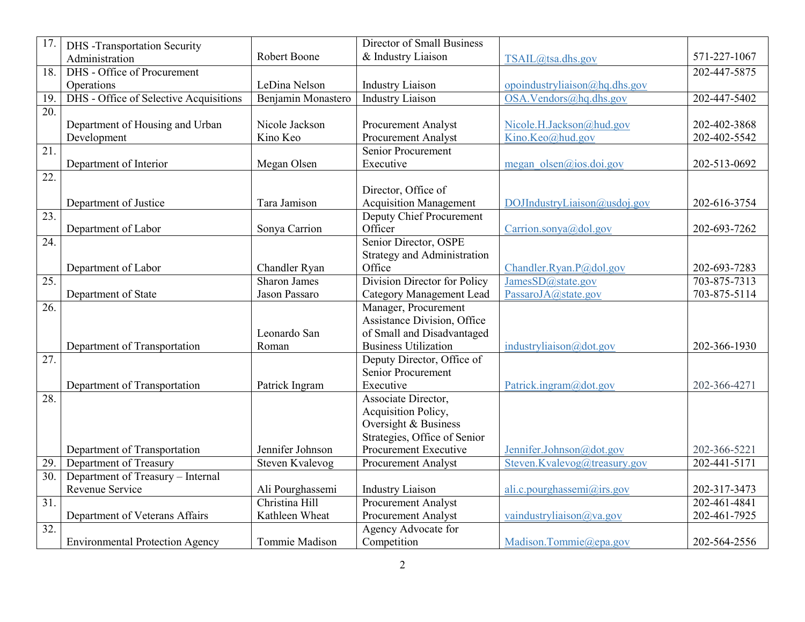| & Industry Liaison<br>Robert Boone<br>571-227-1067<br>Administration<br>TSAIL@tsa.dhs.gov<br>DHS - Office of Procurement<br>202-447-5875<br>18.<br>opoindustryliaison@hq.dhs.gov<br>Operations<br>LeDina Nelson<br><b>Industry Liaison</b><br>DHS - Office of Selective Acquisitions<br><b>Industry Liaison</b><br>OSA.Vendors@hq.dhs.gov<br>Benjamin Monastero<br>19.<br>202-447-5402<br>$\overline{20}$ .<br>Nicole Jackson<br>Department of Housing and Urban<br>Nicole.H.Jackson@hud.gov<br>202-402-3868<br><b>Procurement Analyst</b><br>Kino.Keo@hud.gov<br>Development<br>Kino Keo<br>Procurement Analyst<br>202-402-5542<br>$\overline{21}$ .<br>Senior Procurement<br>Department of Interior<br>Megan Olsen<br>Executive<br>202-513-0692<br>megan olsen@ios.doi.gov<br>22.<br>Director, Office of<br><b>Acquisition Management</b><br>DOJIndustryLiaison@usdoj.gov<br>Department of Justice<br>Tara Jamison<br>202-616-3754<br>23.<br><b>Deputy Chief Procurement</b><br>Officer<br>Department of Labor<br>Sonya Carrion<br>Carrion.sonya@dol.gov<br>202-693-7262<br>$\overline{24}$ .<br>Senior Director, OSPE<br><b>Strategy and Administration</b><br>Department of Labor<br>Chandler Ryan<br>Office<br>Chandler.Ryan.P@dol.gov<br>202-693-7283<br><b>Division Director for Policy</b><br>JamesSD@state.gov<br>25.<br><b>Sharon James</b><br>703-875-7313<br>PassaroJA@state.gov<br>Department of State<br>Jason Passaro<br><b>Category Management Lead</b><br>703-875-5114<br>Manager, Procurement<br>$\overline{26}$<br>Assistance Division, Office<br>of Small and Disadvantaged<br>Leonardo San<br><b>Business Utilization</b><br>Department of Transportation<br>industryliaison@dot.gov<br>Roman<br>202-366-1930<br>27.<br>Deputy Director, Office of<br><b>Senior Procurement</b><br>Executive<br>Patrick.ingram@dot.gov<br>Department of Transportation<br>Patrick Ingram<br>202-366-4271<br>$\overline{28}$ .<br>Associate Director,<br>Acquisition Policy,<br>Oversight & Business<br>Strategies, Office of Senior | $\overline{17}$ . | <b>DHS</b> -Transportation Security | Director of Small Business |  |
|------------------------------------------------------------------------------------------------------------------------------------------------------------------------------------------------------------------------------------------------------------------------------------------------------------------------------------------------------------------------------------------------------------------------------------------------------------------------------------------------------------------------------------------------------------------------------------------------------------------------------------------------------------------------------------------------------------------------------------------------------------------------------------------------------------------------------------------------------------------------------------------------------------------------------------------------------------------------------------------------------------------------------------------------------------------------------------------------------------------------------------------------------------------------------------------------------------------------------------------------------------------------------------------------------------------------------------------------------------------------------------------------------------------------------------------------------------------------------------------------------------------------------------------------------------------------------------------------------------------------------------------------------------------------------------------------------------------------------------------------------------------------------------------------------------------------------------------------------------------------------------------------------------------------------------------------------------------------------------------------------------------------------------------|-------------------|-------------------------------------|----------------------------|--|
|                                                                                                                                                                                                                                                                                                                                                                                                                                                                                                                                                                                                                                                                                                                                                                                                                                                                                                                                                                                                                                                                                                                                                                                                                                                                                                                                                                                                                                                                                                                                                                                                                                                                                                                                                                                                                                                                                                                                                                                                                                          |                   |                                     |                            |  |
|                                                                                                                                                                                                                                                                                                                                                                                                                                                                                                                                                                                                                                                                                                                                                                                                                                                                                                                                                                                                                                                                                                                                                                                                                                                                                                                                                                                                                                                                                                                                                                                                                                                                                                                                                                                                                                                                                                                                                                                                                                          |                   |                                     |                            |  |
|                                                                                                                                                                                                                                                                                                                                                                                                                                                                                                                                                                                                                                                                                                                                                                                                                                                                                                                                                                                                                                                                                                                                                                                                                                                                                                                                                                                                                                                                                                                                                                                                                                                                                                                                                                                                                                                                                                                                                                                                                                          |                   |                                     |                            |  |
|                                                                                                                                                                                                                                                                                                                                                                                                                                                                                                                                                                                                                                                                                                                                                                                                                                                                                                                                                                                                                                                                                                                                                                                                                                                                                                                                                                                                                                                                                                                                                                                                                                                                                                                                                                                                                                                                                                                                                                                                                                          |                   |                                     |                            |  |
|                                                                                                                                                                                                                                                                                                                                                                                                                                                                                                                                                                                                                                                                                                                                                                                                                                                                                                                                                                                                                                                                                                                                                                                                                                                                                                                                                                                                                                                                                                                                                                                                                                                                                                                                                                                                                                                                                                                                                                                                                                          |                   |                                     |                            |  |
|                                                                                                                                                                                                                                                                                                                                                                                                                                                                                                                                                                                                                                                                                                                                                                                                                                                                                                                                                                                                                                                                                                                                                                                                                                                                                                                                                                                                                                                                                                                                                                                                                                                                                                                                                                                                                                                                                                                                                                                                                                          |                   |                                     |                            |  |
|                                                                                                                                                                                                                                                                                                                                                                                                                                                                                                                                                                                                                                                                                                                                                                                                                                                                                                                                                                                                                                                                                                                                                                                                                                                                                                                                                                                                                                                                                                                                                                                                                                                                                                                                                                                                                                                                                                                                                                                                                                          |                   |                                     |                            |  |
|                                                                                                                                                                                                                                                                                                                                                                                                                                                                                                                                                                                                                                                                                                                                                                                                                                                                                                                                                                                                                                                                                                                                                                                                                                                                                                                                                                                                                                                                                                                                                                                                                                                                                                                                                                                                                                                                                                                                                                                                                                          |                   |                                     |                            |  |
|                                                                                                                                                                                                                                                                                                                                                                                                                                                                                                                                                                                                                                                                                                                                                                                                                                                                                                                                                                                                                                                                                                                                                                                                                                                                                                                                                                                                                                                                                                                                                                                                                                                                                                                                                                                                                                                                                                                                                                                                                                          |                   |                                     |                            |  |
|                                                                                                                                                                                                                                                                                                                                                                                                                                                                                                                                                                                                                                                                                                                                                                                                                                                                                                                                                                                                                                                                                                                                                                                                                                                                                                                                                                                                                                                                                                                                                                                                                                                                                                                                                                                                                                                                                                                                                                                                                                          |                   |                                     |                            |  |
|                                                                                                                                                                                                                                                                                                                                                                                                                                                                                                                                                                                                                                                                                                                                                                                                                                                                                                                                                                                                                                                                                                                                                                                                                                                                                                                                                                                                                                                                                                                                                                                                                                                                                                                                                                                                                                                                                                                                                                                                                                          |                   |                                     |                            |  |
|                                                                                                                                                                                                                                                                                                                                                                                                                                                                                                                                                                                                                                                                                                                                                                                                                                                                                                                                                                                                                                                                                                                                                                                                                                                                                                                                                                                                                                                                                                                                                                                                                                                                                                                                                                                                                                                                                                                                                                                                                                          |                   |                                     |                            |  |
|                                                                                                                                                                                                                                                                                                                                                                                                                                                                                                                                                                                                                                                                                                                                                                                                                                                                                                                                                                                                                                                                                                                                                                                                                                                                                                                                                                                                                                                                                                                                                                                                                                                                                                                                                                                                                                                                                                                                                                                                                                          |                   |                                     |                            |  |
|                                                                                                                                                                                                                                                                                                                                                                                                                                                                                                                                                                                                                                                                                                                                                                                                                                                                                                                                                                                                                                                                                                                                                                                                                                                                                                                                                                                                                                                                                                                                                                                                                                                                                                                                                                                                                                                                                                                                                                                                                                          |                   |                                     |                            |  |
|                                                                                                                                                                                                                                                                                                                                                                                                                                                                                                                                                                                                                                                                                                                                                                                                                                                                                                                                                                                                                                                                                                                                                                                                                                                                                                                                                                                                                                                                                                                                                                                                                                                                                                                                                                                                                                                                                                                                                                                                                                          |                   |                                     |                            |  |
|                                                                                                                                                                                                                                                                                                                                                                                                                                                                                                                                                                                                                                                                                                                                                                                                                                                                                                                                                                                                                                                                                                                                                                                                                                                                                                                                                                                                                                                                                                                                                                                                                                                                                                                                                                                                                                                                                                                                                                                                                                          |                   |                                     |                            |  |
|                                                                                                                                                                                                                                                                                                                                                                                                                                                                                                                                                                                                                                                                                                                                                                                                                                                                                                                                                                                                                                                                                                                                                                                                                                                                                                                                                                                                                                                                                                                                                                                                                                                                                                                                                                                                                                                                                                                                                                                                                                          |                   |                                     |                            |  |
|                                                                                                                                                                                                                                                                                                                                                                                                                                                                                                                                                                                                                                                                                                                                                                                                                                                                                                                                                                                                                                                                                                                                                                                                                                                                                                                                                                                                                                                                                                                                                                                                                                                                                                                                                                                                                                                                                                                                                                                                                                          |                   |                                     |                            |  |
|                                                                                                                                                                                                                                                                                                                                                                                                                                                                                                                                                                                                                                                                                                                                                                                                                                                                                                                                                                                                                                                                                                                                                                                                                                                                                                                                                                                                                                                                                                                                                                                                                                                                                                                                                                                                                                                                                                                                                                                                                                          |                   |                                     |                            |  |
|                                                                                                                                                                                                                                                                                                                                                                                                                                                                                                                                                                                                                                                                                                                                                                                                                                                                                                                                                                                                                                                                                                                                                                                                                                                                                                                                                                                                                                                                                                                                                                                                                                                                                                                                                                                                                                                                                                                                                                                                                                          |                   |                                     |                            |  |
|                                                                                                                                                                                                                                                                                                                                                                                                                                                                                                                                                                                                                                                                                                                                                                                                                                                                                                                                                                                                                                                                                                                                                                                                                                                                                                                                                                                                                                                                                                                                                                                                                                                                                                                                                                                                                                                                                                                                                                                                                                          |                   |                                     |                            |  |
|                                                                                                                                                                                                                                                                                                                                                                                                                                                                                                                                                                                                                                                                                                                                                                                                                                                                                                                                                                                                                                                                                                                                                                                                                                                                                                                                                                                                                                                                                                                                                                                                                                                                                                                                                                                                                                                                                                                                                                                                                                          |                   |                                     |                            |  |
|                                                                                                                                                                                                                                                                                                                                                                                                                                                                                                                                                                                                                                                                                                                                                                                                                                                                                                                                                                                                                                                                                                                                                                                                                                                                                                                                                                                                                                                                                                                                                                                                                                                                                                                                                                                                                                                                                                                                                                                                                                          |                   |                                     |                            |  |
|                                                                                                                                                                                                                                                                                                                                                                                                                                                                                                                                                                                                                                                                                                                                                                                                                                                                                                                                                                                                                                                                                                                                                                                                                                                                                                                                                                                                                                                                                                                                                                                                                                                                                                                                                                                                                                                                                                                                                                                                                                          |                   |                                     |                            |  |
|                                                                                                                                                                                                                                                                                                                                                                                                                                                                                                                                                                                                                                                                                                                                                                                                                                                                                                                                                                                                                                                                                                                                                                                                                                                                                                                                                                                                                                                                                                                                                                                                                                                                                                                                                                                                                                                                                                                                                                                                                                          |                   |                                     |                            |  |
|                                                                                                                                                                                                                                                                                                                                                                                                                                                                                                                                                                                                                                                                                                                                                                                                                                                                                                                                                                                                                                                                                                                                                                                                                                                                                                                                                                                                                                                                                                                                                                                                                                                                                                                                                                                                                                                                                                                                                                                                                                          |                   |                                     |                            |  |
|                                                                                                                                                                                                                                                                                                                                                                                                                                                                                                                                                                                                                                                                                                                                                                                                                                                                                                                                                                                                                                                                                                                                                                                                                                                                                                                                                                                                                                                                                                                                                                                                                                                                                                                                                                                                                                                                                                                                                                                                                                          |                   |                                     |                            |  |
|                                                                                                                                                                                                                                                                                                                                                                                                                                                                                                                                                                                                                                                                                                                                                                                                                                                                                                                                                                                                                                                                                                                                                                                                                                                                                                                                                                                                                                                                                                                                                                                                                                                                                                                                                                                                                                                                                                                                                                                                                                          |                   |                                     |                            |  |
|                                                                                                                                                                                                                                                                                                                                                                                                                                                                                                                                                                                                                                                                                                                                                                                                                                                                                                                                                                                                                                                                                                                                                                                                                                                                                                                                                                                                                                                                                                                                                                                                                                                                                                                                                                                                                                                                                                                                                                                                                                          |                   |                                     |                            |  |
| Jennifer Johnson<br>Procurement Executive<br>Jennifer.Johnson@dot.gov<br>202-366-5221                                                                                                                                                                                                                                                                                                                                                                                                                                                                                                                                                                                                                                                                                                                                                                                                                                                                                                                                                                                                                                                                                                                                                                                                                                                                                                                                                                                                                                                                                                                                                                                                                                                                                                                                                                                                                                                                                                                                                    |                   |                                     |                            |  |
| Department of Transportation<br>29.<br>Department of Treasury<br>202-441-5171                                                                                                                                                                                                                                                                                                                                                                                                                                                                                                                                                                                                                                                                                                                                                                                                                                                                                                                                                                                                                                                                                                                                                                                                                                                                                                                                                                                                                                                                                                                                                                                                                                                                                                                                                                                                                                                                                                                                                            |                   |                                     |                            |  |
| Steven Kvalevog<br>Steven.Kvalevog@treasury.gov<br><b>Procurement Analyst</b><br>Department of Treasury - Internal<br>30.                                                                                                                                                                                                                                                                                                                                                                                                                                                                                                                                                                                                                                                                                                                                                                                                                                                                                                                                                                                                                                                                                                                                                                                                                                                                                                                                                                                                                                                                                                                                                                                                                                                                                                                                                                                                                                                                                                                |                   |                                     |                            |  |
| Revenue Service<br>Ali Pourghassemi<br>ali.c.pourghassemi@irs.gov<br>202-317-3473                                                                                                                                                                                                                                                                                                                                                                                                                                                                                                                                                                                                                                                                                                                                                                                                                                                                                                                                                                                                                                                                                                                                                                                                                                                                                                                                                                                                                                                                                                                                                                                                                                                                                                                                                                                                                                                                                                                                                        |                   |                                     |                            |  |
| <b>Industry Liaison</b><br>31.<br>Christina Hill<br>Procurement Analyst<br>202-461-4841                                                                                                                                                                                                                                                                                                                                                                                                                                                                                                                                                                                                                                                                                                                                                                                                                                                                                                                                                                                                                                                                                                                                                                                                                                                                                                                                                                                                                                                                                                                                                                                                                                                                                                                                                                                                                                                                                                                                                  |                   |                                     |                            |  |
| <b>Procurement Analyst</b><br>Kathleen Wheat<br>vaindustryliaison@va.gov<br>202-461-7925<br>Department of Veterans Affairs                                                                                                                                                                                                                                                                                                                                                                                                                                                                                                                                                                                                                                                                                                                                                                                                                                                                                                                                                                                                                                                                                                                                                                                                                                                                                                                                                                                                                                                                                                                                                                                                                                                                                                                                                                                                                                                                                                               |                   |                                     |                            |  |
| $\overline{32}$ .<br>Agency Advocate for                                                                                                                                                                                                                                                                                                                                                                                                                                                                                                                                                                                                                                                                                                                                                                                                                                                                                                                                                                                                                                                                                                                                                                                                                                                                                                                                                                                                                                                                                                                                                                                                                                                                                                                                                                                                                                                                                                                                                                                                 |                   |                                     |                            |  |
| 202-564-2556<br><b>Environmental Protection Agency</b><br>Tommie Madison<br>Competition<br>Madison.Tommie@epa.gov                                                                                                                                                                                                                                                                                                                                                                                                                                                                                                                                                                                                                                                                                                                                                                                                                                                                                                                                                                                                                                                                                                                                                                                                                                                                                                                                                                                                                                                                                                                                                                                                                                                                                                                                                                                                                                                                                                                        |                   |                                     |                            |  |